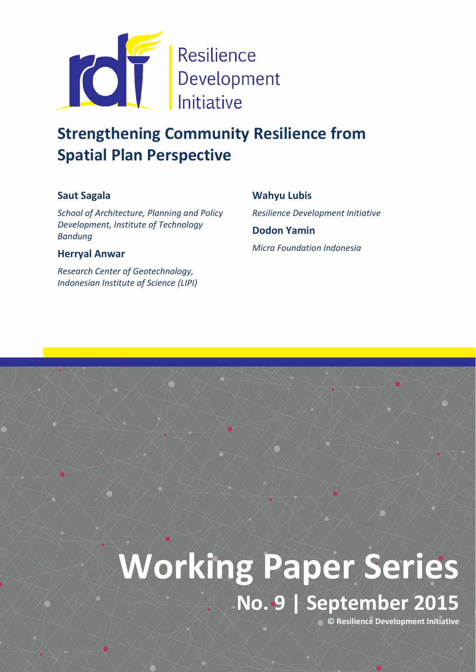

# Strengthening Community Resilience from Spatial Plan Perspective

# Saut Sagala

*School of Architecture, Planning and Policy Development, Institute of Technology Bandung*

## Herryal Anwar

*Research Center of Geotechnology, Indonesian Institute of Science (LIPI)* Wahyu Lubis *Resilience Development Initiative*  Dodon Yamin *Micra Foundation Indonesia*

# Working Paper Series

No. 9 | September 2015

© Resilience Development Initiative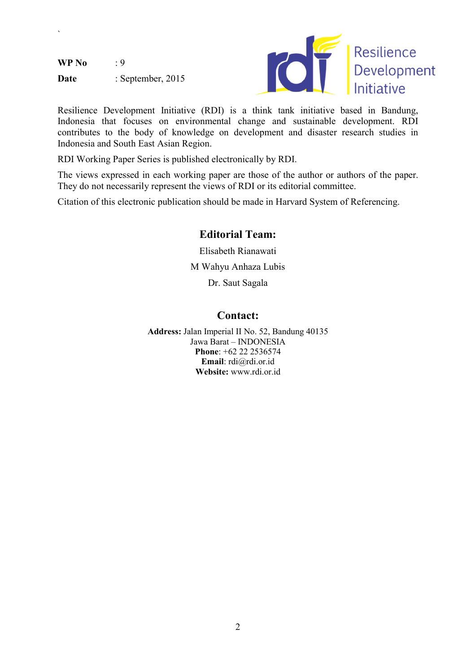$WP No$  : 9

`

Date : September, 2015



Resilience Development Initiative (RDI) is a think tank initiative based in Bandung, Indonesia that focuses on environmental change and sustainable development. RDI contributes to the body of knowledge on development and disaster research studies in Indonesia and South East Asian Region.

RDI Working Paper Series is published electronically by RDI.

The views expressed in each working paper are those of the author or authors of the paper. They do not necessarily represent the views of RDI or its editorial committee.

Citation of this electronic publication should be made in Harvard System of Referencing.

# Editorial Team:

Elisabeth Rianawati M Wahyu Anhaza Lubis Dr. Saut Sagala

## Contact:

Address: Jalan Imperial II No. 52, Bandung 40135 Jawa Barat – INDONESIA Phone: +62 22 2536574 Email: rdi@rdi.or.id Website: www.rdi.or.id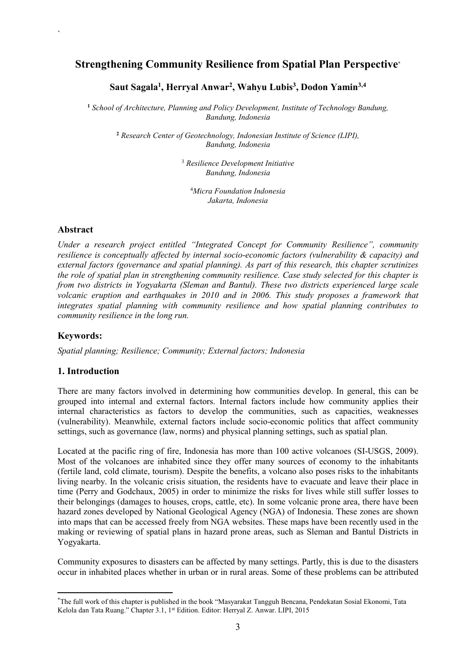# Strengthening Community Resilience from Spatial Plan Perspective\*

#### Saut Sagala<sup>1</sup>, Herryal Anwar<sup>2</sup>, Wahyu Lubis<sup>3</sup>, Dodon Yamin<sup>3,4</sup>

<sup>1</sup> *School of Architecture, Planning and Policy Development, Institute of Technology Bandung, Bandung, Indonesia*

<sup>2</sup> *Research Center of Geotechnology, Indonesian Institute of Science (LIPI), Bandung, Indonesia*

> <sup>3</sup> *Resilience Development Initiative Bandung, Indonesia*

4 *Micra Foundation Indonesia Jakarta, Indonesia*

#### Abstract

`

*Under a research project entitled "Integrated Concept for Community Resilience", community resilience is conceptually affected by internal socio-economic factors (vulnerability & capacity) and external factors (governance and spatial planning). As part of this research, this chapter scrutinizes the role of spatial plan in strengthening community resilience. Case study selected for this chapter is from two districts in Yogyakarta (Sleman and Bantul). These two districts experienced large scale volcanic eruption and earthquakes in 2010 and in 2006. This study proposes a framework that integrates spatial planning with community resilience and how spatial planning contributes to community resilience in the long run.*

#### Keywords:

**.** 

*Spatial planning; Resilience; Community; External factors; Indonesia*

#### 1. Introduction

There are many factors involved in determining how communities develop. In general, this can be grouped into internal and external factors. Internal factors include how community applies their internal characteristics as factors to develop the communities, such as capacities, weaknesses (vulnerability). Meanwhile, external factors include socio-economic politics that affect community settings, such as governance (law, norms) and physical planning settings, such as spatial plan.

Located at the pacific ring of fire, Indonesia has more than 100 active volcanoes (SI-USGS, 2009). Most of the volcanoes are inhabited since they offer many sources of economy to the inhabitants (fertile land, cold climate, tourism). Despite the benefits, a volcano also poses risks to the inhabitants living nearby. In the volcanic crisis situation, the residents have to evacuate and leave their place in time (Perry and Godchaux, 2005) in order to minimize the risks for lives while still suffer losses to their belongings (damages to houses, crops, cattle, etc). In some volcanic prone area, there have been hazard zones developed by National Geological Agency (NGA) of Indonesia. These zones are shown into maps that can be accessed freely from NGA websites. These maps have been recently used in the making or reviewing of spatial plans in hazard prone areas, such as Sleman and Bantul Districts in Yogyakarta.

Community exposures to disasters can be affected by many settings. Partly, this is due to the disasters occur in inhabited places whether in urban or in rural areas. Some of these problems can be attributed

<sup>\*</sup> The full work of this chapter is published in the book "Masyarakat Tangguh Bencana, Pendekatan Sosial Ekonomi, Tata Kelola dan Tata Ruang." Chapter 3.1, 1<sup>st</sup> Edition. Editor: Herryal Z. Anwar. LIPI, 2015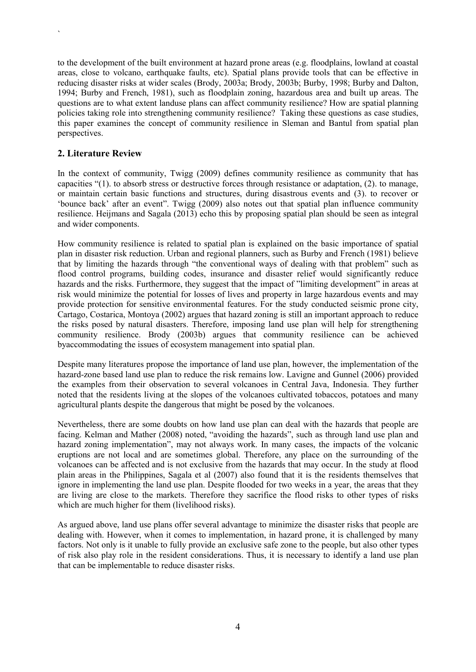to the development of the built environment at hazard prone areas (e.g. floodplains, lowland at coastal areas, close to volcano, earthquake faults, etc). Spatial plans provide tools that can be effective in reducing disaster risks at wider scales (Brody, 2003a; Brody, 2003b; Burby, 1998; Burby and Dalton, 1994; Burby and French, 1981), such as floodplain zoning, hazardous area and built up areas. The questions are to what extent landuse plans can affect community resilience? How are spatial planning policies taking role into strengthening community resilience? Taking these questions as case studies, this paper examines the concept of community resilience in Sleman and Bantul from spatial plan perspectives.

#### 2. Literature Review

`

In the context of community, Twigg (2009) defines community resilience as community that has capacities "(1). to absorb stress or destructive forces through resistance or adaptation, (2). to manage, or maintain certain basic functions and structures, during disastrous events and (3). to recover or 'bounce back' after an event". Twigg (2009) also notes out that spatial plan influence community resilience. Heijmans and Sagala (2013) echo this by proposing spatial plan should be seen as integral and wider components.

How community resilience is related to spatial plan is explained on the basic importance of spatial plan in disaster risk reduction. Urban and regional planners, such as Burby and French (1981) believe that by limiting the hazards through "the conventional ways of dealing with that problem" such as flood control programs, building codes, insurance and disaster relief would significantly reduce hazards and the risks. Furthermore, they suggest that the impact of "limiting development" in areas at risk would minimize the potential for losses of lives and property in large hazardous events and may provide protection for sensitive environmental features. For the study conducted seismic prone city, Cartago, Costarica, Montoya (2002) argues that hazard zoning is still an important approach to reduce the risks posed by natural disasters. Therefore, imposing land use plan will help for strengthening community resilience. Brody (2003b) argues that community resilience can be achieved byaccommodating the issues of ecosystem management into spatial plan.

Despite many literatures propose the importance of land use plan, however, the implementation of the hazard-zone based land use plan to reduce the risk remains low. Lavigne and Gunnel (2006) provided the examples from their observation to several volcanoes in Central Java, Indonesia. They further noted that the residents living at the slopes of the volcanoes cultivated tobaccos, potatoes and many agricultural plants despite the dangerous that might be posed by the volcanoes.

Nevertheless, there are some doubts on how land use plan can deal with the hazards that people are facing. Kelman and Mather (2008) noted, "avoiding the hazards", such as through land use plan and hazard zoning implementation", may not always work. In many cases, the impacts of the volcanic eruptions are not local and are sometimes global. Therefore, any place on the surrounding of the volcanoes can be affected and is not exclusive from the hazards that may occur. In the study at flood plain areas in the Philippines, Sagala et al (2007) also found that it is the residents themselves that ignore in implementing the land use plan. Despite flooded for two weeks in a year, the areas that they are living are close to the markets. Therefore they sacrifice the flood risks to other types of risks which are much higher for them (livelihood risks).

As argued above, land use plans offer several advantage to minimize the disaster risks that people are dealing with. However, when it comes to implementation, in hazard prone, it is challenged by many factors. Not only is it unable to fully provide an exclusive safe zone to the people, but also other types of risk also play role in the resident considerations. Thus, it is necessary to identify a land use plan that can be implementable to reduce disaster risks.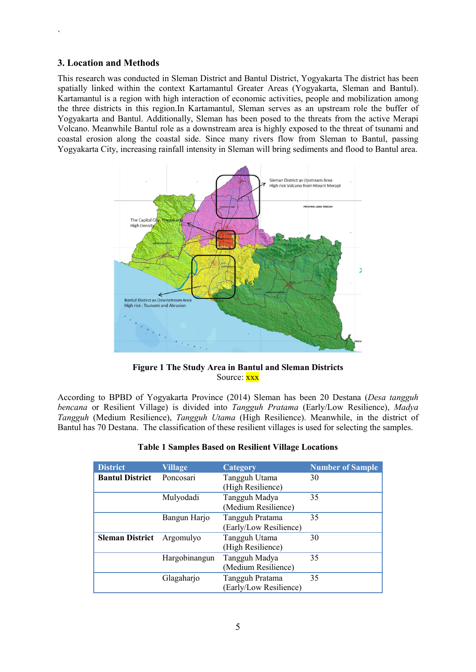#### 3. Location and Methods

`

This research was conducted in Sleman District and Bantul District, Yogyakarta The district has been spatially linked within the context Kartamantul Greater Areas (Yogyakarta, Sleman and Bantul). Kartamantul is a region with high interaction of economic activities, people and mobilization among the three districts in this region.In Kartamantul, Sleman serves as an upstream role the buffer of Yogyakarta and Bantul. Additionally, Sleman has been posed to the threats from the active Merapi Volcano. Meanwhile Bantul role as a downstream area is highly exposed to the threat of tsunami and coastal erosion along the coastal side. Since many rivers flow from Sleman to Bantul, passing Yogyakarta City, increasing rainfall intensity in Sleman will bring sediments and flood to Bantul area.



Figure 1 The Study Area in Bantul and Sleman Districts Source: xxx

According to BPBD of Yogyakarta Province (2014) Sleman has been 20 Destana (*Desa tangguh bencana* or Resilient Village) is divided into *Tangguh Pratama* (Early/Low Resilience), *Madya Tangguh* (Medium Resilience), *Tangguh Utama* (High Resilience). Meanwhile, in the district of Bantul has 70 Destana. The classification of these resilient villages is used for selecting the samples.

| <b>District</b>        | <b>Village</b> | Category                                  | <b>Number of Sample</b> |
|------------------------|----------------|-------------------------------------------|-------------------------|
| <b>Bantul District</b> | Poncosari      | Tangguh Utama<br>(High Resilience)        | 30                      |
|                        | Mulyodadi      | Tangguh Madya<br>(Medium Resilience)      | 35                      |
|                        | Bangun Harjo   | Tangguh Pratama<br>(Early/Low Resilience) | 35                      |
| <b>Sleman District</b> | Argomulyo      | Tangguh Utama<br>(High Resilience)        | 30                      |
|                        | Hargobinangun  | Tangguh Madya<br>(Medium Resilience)      | 35                      |
|                        | Glagaharjo     | Tangguh Pratama<br>(Early/Low Resilience) | 35                      |

|  | <b>Table 1 Samples Based on Resilient Village Locations</b> |  |
|--|-------------------------------------------------------------|--|
|  |                                                             |  |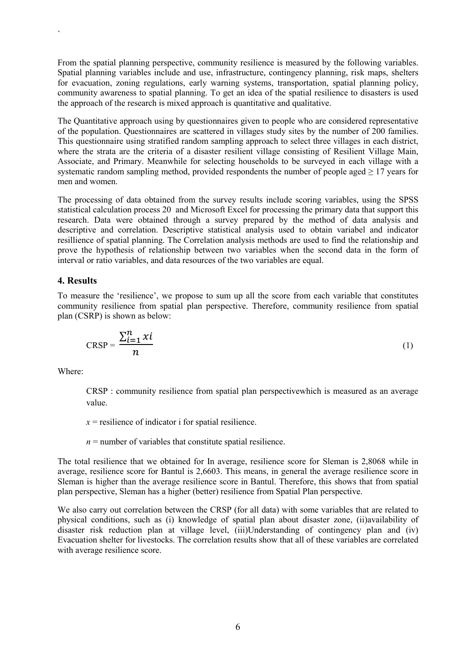From the spatial planning perspective, community resilience is measured by the following variables. Spatial planning variables include and use, infrastructure, contingency planning, risk maps, shelters for evacuation, zoning regulations, early warning systems, transportation, spatial planning policy, community awareness to spatial planning. To get an idea of the spatial resilience to disasters is used the approach of the research is mixed approach is quantitative and qualitative.

The Quantitative approach using by questionnaires given to people who are considered representative of the population. Questionnaires are scattered in villages study sites by the number of 200 families. This questionnaire using stratified random sampling approach to select three villages in each district, where the strata are the criteria of a disaster resilient village consisting of Resilient Village Main, Associate, and Primary. Meanwhile for selecting households to be surveyed in each village with a systematic random sampling method, provided respondents the number of people aged  $\geq 17$  years for men and women.

The processing of data obtained from the survey results include scoring variables, using the SPSS statistical calculation process 20 and Microsoft Excel for processing the primary data that support this research. Data were obtained through a survey prepared by the method of data analysis and descriptive and correlation. Descriptive statistical analysis used to obtain variabel and indicator resillience of spatial planning. The Correlation analysis methods are used to find the relationship and prove the hypothesis of relationship between two variables when the second data in the form of interval or ratio variables, and data resources of the two variables are equal.

#### 4. Results

`

To measure the 'resilience', we propose to sum up all the score from each variable that constitutes community resilience from spatial plan perspective. Therefore, community resilience from spatial plan (CSRP) is shown as below:

$$
CRSP = \frac{\sum_{i=1}^{n} x i}{n}
$$
 (1)

Where:

CRSP : community resilience from spatial plan perspectivewhich is measured as an average value.

 $x$  = resilience of indicator i for spatial resilience.

 $n =$  number of variables that constitute spatial resilience.

The total resilience that we obtained for In average, resilience score for Sleman is 2,8068 while in average, resilience score for Bantul is 2,6603. This means, in general the average resilience score in Sleman is higher than the average resilience score in Bantul. Therefore, this shows that from spatial plan perspective, Sleman has a higher (better) resilience from Spatial Plan perspective.

We also carry out correlation between the CRSP (for all data) with some variables that are related to physical conditions, such as (i) knowledge of spatial plan about disaster zone, (ii)availability of disaster risk reduction plan at village level, (iii)Understanding of contingency plan and (iv) Evacuation shelter for livestocks. The correlation results show that all of these variables are correlated with average resilience score.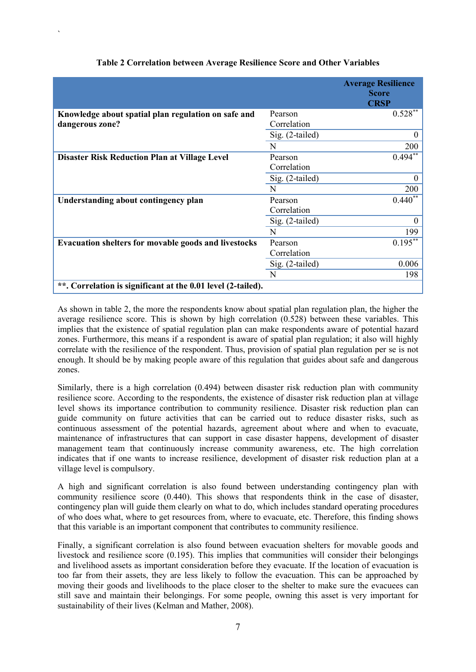|                                                              |                 | <b>Average Resilience</b><br><b>Score</b><br><b>CRSP</b> |
|--------------------------------------------------------------|-----------------|----------------------------------------------------------|
| Knowledge about spatial plan regulation on safe and          | Pearson         | $0.528***$                                               |
| dangerous zone?                                              | Correlation     |                                                          |
|                                                              | Sig. (2-tailed) | $\theta$                                                 |
|                                                              | N               | 200                                                      |
| <b>Disaster Risk Reduction Plan at Village Level</b>         | Pearson         | $0.494**$                                                |
|                                                              | Correlation     |                                                          |
|                                                              | Sig. (2-tailed) | $\Omega$                                                 |
|                                                              | N               | 200                                                      |
| Understanding about contingency plan                         | Pearson         | $0.440**$                                                |
|                                                              | Correlation     |                                                          |
|                                                              | Sig. (2-tailed) | $\theta$                                                 |
|                                                              | N               | 199                                                      |
| <b>Evacuation shelters for movable goods and livestocks</b>  | Pearson         | $0.195***$                                               |
|                                                              | Correlation     |                                                          |
|                                                              | Sig. (2-tailed) | 0.006                                                    |
|                                                              | N               | 198                                                      |
| **. Correlation is significant at the 0.01 level (2-tailed). |                 |                                                          |

#### Table 2 Correlation between Average Resilience Score and Other Variables

`

As shown in table 2, the more the respondents know about spatial plan regulation plan, the higher the average resilience score. This is shown by high correlation (0.528) between these variables. This implies that the existence of spatial regulation plan can make respondents aware of potential hazard zones. Furthermore, this means if a respondent is aware of spatial plan regulation; it also will highly correlate with the resilience of the respondent. Thus, provision of spatial plan regulation per se is not enough. It should be by making people aware of this regulation that guides about safe and dangerous zones.

Similarly, there is a high correlation (0.494) between disaster risk reduction plan with community resilience score. According to the respondents, the existence of disaster risk reduction plan at village level shows its importance contribution to community resilience. Disaster risk reduction plan can guide community on future activities that can be carried out to reduce disaster risks, such as continuous assessment of the potential hazards, agreement about where and when to evacuate, maintenance of infrastructures that can support in case disaster happens, development of disaster management team that continuously increase community awareness, etc. The high correlation indicates that if one wants to increase resilience, development of disaster risk reduction plan at a village level is compulsory.

A high and significant correlation is also found between understanding contingency plan with community resilience score (0.440). This shows that respondents think in the case of disaster, contingency plan will guide them clearly on what to do, which includes standard operating procedures of who does what, where to get resources from, where to evacuate, etc. Therefore, this finding shows that this variable is an important component that contributes to community resilience.

Finally, a significant correlation is also found between evacuation shelters for movable goods and livestock and resilience score (0.195). This implies that communities will consider their belongings and livelihood assets as important consideration before they evacuate. If the location of evacuation is too far from their assets, they are less likely to follow the evacuation. This can be approached by moving their goods and livelihoods to the place closer to the shelter to make sure the evacuees can still save and maintain their belongings. For some people, owning this asset is very important for sustainability of their lives (Kelman and Mather, 2008).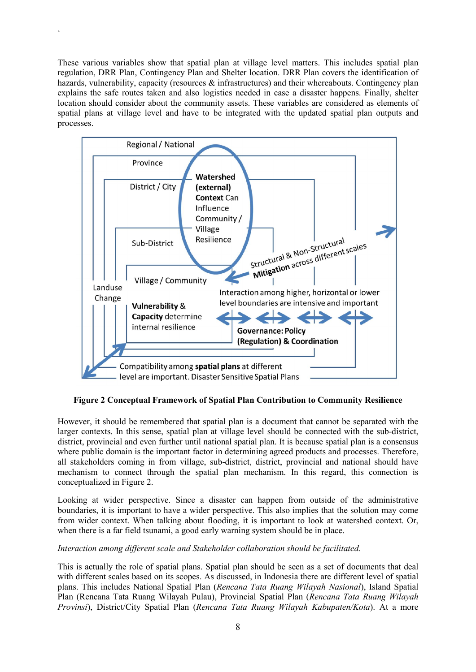These various variables show that spatial plan at village level matters. This includes spatial plan regulation, DRR Plan, Contingency Plan and Shelter location. DRR Plan covers the identification of hazards, vulnerability, capacity (resources & infrastructures) and their whereabouts. Contingency plan explains the safe routes taken and also logistics needed in case a disaster happens. Finally, shelter location should consider about the community assets. These variables are considered as elements of spatial plans at village level and have to be integrated with the updated spatial plan outputs and processes.

`



Figure 2 Conceptual Framework of Spatial Plan Contribution to Community Resilience

However, it should be remembered that spatial plan is a document that cannot be separated with the larger contexts. In this sense, spatial plan at village level should be connected with the sub-district, district, provincial and even further until national spatial plan. It is because spatial plan is a consensus where public domain is the important factor in determining agreed products and processes. Therefore, all stakeholders coming in from village, sub-district, district, provincial and national should have mechanism to connect through the spatial plan mechanism. In this regard, this connection is conceptualized in Figure 2.

Looking at wider perspective. Since a disaster can happen from outside of the administrative boundaries, it is important to have a wider perspective. This also implies that the solution may come from wider context. When talking about flooding, it is important to look at watershed context. Or, when there is a far field tsunami, a good early warning system should be in place.

#### *Interaction among different scale and Stakeholder collaboration should be facilitated.*

This is actually the role of spatial plans. Spatial plan should be seen as a set of documents that deal with different scales based on its scopes. As discussed, in Indonesia there are different level of spatial plans. This includes National Spatial Plan (*Rencana Tata Ruang Wilayah Nasional*), Island Spatial Plan (Rencana Tata Ruang Wilayah Pulau), Provincial Spatial Plan (*Rencana Tata Ruang Wilayah Provinsi*), District/City Spatial Plan (*Rencana Tata Ruang Wilayah Kabupaten/Kota*). At a more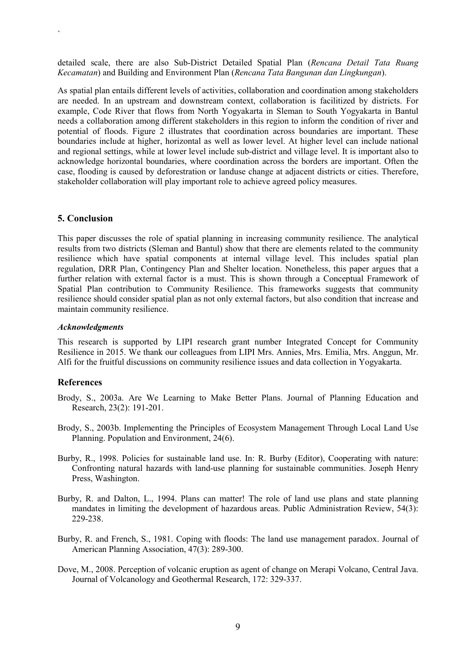detailed scale, there are also Sub-District Detailed Spatial Plan (*Rencana Detail Tata Ruang Kecamatan*) and Building and Environment Plan (*Rencana Tata Bangunan dan Lingkungan*).

As spatial plan entails different levels of activities, collaboration and coordination among stakeholders are needed. In an upstream and downstream context, collaboration is facilitized by districts. For example, Code River that flows from North Yogyakarta in Sleman to South Yogyakarta in Bantul needs a collaboration among different stakeholders in this region to inform the condition of river and potential of floods. Figure 2 illustrates that coordination across boundaries are important. These boundaries include at higher, horizontal as well as lower level. At higher level can include national and regional settings, while at lower level include sub-district and village level. It is important also to acknowledge horizontal boundaries, where coordination across the borders are important. Often the case, flooding is caused by deforestration or landuse change at adjacent districts or cities. Therefore, stakeholder collaboration will play important role to achieve agreed policy measures.

#### 5. Conclusion

`

This paper discusses the role of spatial planning in increasing community resilience. The analytical results from two districts (Sleman and Bantul) show that there are elements related to the community resilience which have spatial components at internal village level. This includes spatial plan regulation, DRR Plan, Contingency Plan and Shelter location. Nonetheless, this paper argues that a further relation with external factor is a must. This is shown through a Conceptual Framework of Spatial Plan contribution to Community Resilience. This frameworks suggests that community resilience should consider spatial plan as not only external factors, but also condition that increase and maintain community resilience.

#### *Acknowledgments*

This research is supported by LIPI research grant number Integrated Concept for Community Resilience in 2015. We thank our colleagues from LIPI Mrs. Annies, Mrs. Emilia, Mrs. Anggun, Mr. Alfi for the fruitful discussions on community resilience issues and data collection in Yogyakarta.

#### References

- Brody, S., 2003a. Are We Learning to Make Better Plans. Journal of Planning Education and Research, 23(2): 191-201.
- Brody, S., 2003b. Implementing the Principles of Ecosystem Management Through Local Land Use Planning. Population and Environment, 24(6).
- Burby, R., 1998. Policies for sustainable land use. In: R. Burby (Editor), Cooperating with nature: Confronting natural hazards with land-use planning for sustainable communities. Joseph Henry Press, Washington.
- Burby, R. and Dalton, L., 1994. Plans can matter! The role of land use plans and state planning mandates in limiting the development of hazardous areas. Public Administration Review, 54(3): 229-238.
- Burby, R. and French, S., 1981. Coping with floods: The land use management paradox. Journal of American Planning Association, 47(3): 289-300.
- Dove, M., 2008. Perception of volcanic eruption as agent of change on Merapi Volcano, Central Java. Journal of Volcanology and Geothermal Research, 172: 329-337.